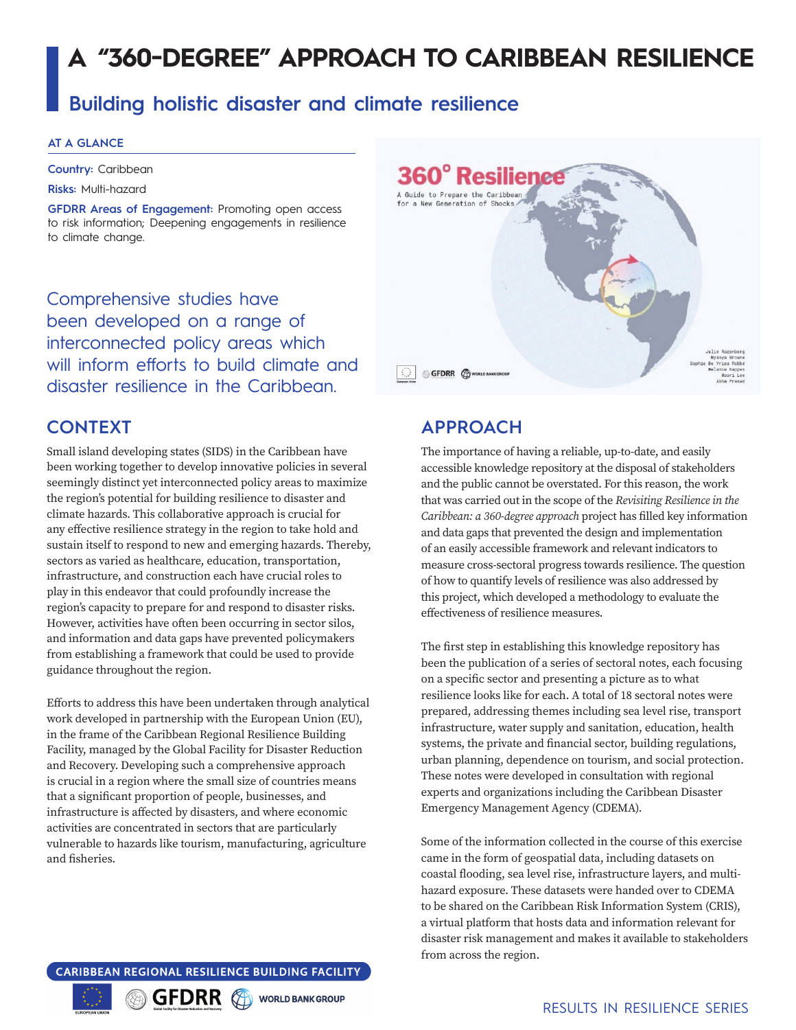# **A "360-DEGREE" APPROACH TO CARIBBEAN RESILIENCE**

# **Building holistic disaster and climate resilience**

#### **AT A GLANCE**

**Country:** Caribbean

**Risks:** Multi-hazard

**GFDRR Areas of Engagement:** Promoting open access to risk information; Deepening engagements in resilience to climate change.

Comprehensive studies have been developed on a range of interconnected policy areas which will inform efforts to build climate and disaster resilience in the Caribbean.

#### **CONTEXT**

Small island developing states (SIDS) in the Caribbean have been working together to develop innovative policies in several seemingly distinct yet interconnected policy areas to maximize the region's potential for building resilience to disaster and climate hazards. This collaborative approach is crucial for any effective resilience strategy in the region to take hold and sustain itself to respond to new and emerging hazards. Thereby, sectors as varied as healthcare, education, transportation, infrastructure, and construction each have crucial roles to play in this endeavor that could profoundly increase the region's capacity to prepare for and respond to disaster risks. However, activities have often been occurring in sector silos, and information and data gaps have prevented policymakers from establishing a framework that could be used to provide guidance throughout the region.

Efforts to address this have been undertaken through analytical work developed in partnership with the European Union (EU), in the frame of the Caribbean Regional Resilience Building Facility, managed by the Global Facility for Disaster Reduction and Recovery. Developing such a comprehensive approach is crucial in a region where the small size of countries means that a significant proportion of people, businesses, and infrastructure is affected by disasters, and where economic activities are concentrated in sectors that are particularly vulnerable to hazards like tourism, manufacturing, agriculture and fisheries.



## **APPROACH**

The importance of having a reliable, up-to-date, and easily accessible knowledge repository at the disposal of stakeholders and the public cannot be overstated. For this reason, the work that was carried out in the scope of the *Revisiting Resilience in the Caribbean: a 360-degree approach* project has filled key information and data gaps that prevented the design and implementation of an easily accessible framework and relevant indicators to measure cross-sectoral progress towards resilience. The question of how to quantify levels of resilience was also addressed by this project, which developed a methodology to evaluate the effectiveness of resilience measures.

The first step in establishing this knowledge repository has been the publication of a series of sectoral notes, each focusing on a specific sector and presenting a picture as to what resilience looks like for each. A total of 18 sectoral notes were prepared, addressing themes including sea level rise, transport infrastructure, water supply and sanitation, education, health systems, the private and financial sector, building regulations, urban planning, dependence on tourism, and social protection. These notes were developed in consultation with regional experts and organizations including the Caribbean Disaster Emergency Management Agency (CDEMA).

Some of the information collected in the course of this exercise came in the form of geospatial data, including datasets on coastal flooding, sea level rise, infrastructure layers, and multihazard exposure. These datasets were handed over to CDEMA to be shared on the Caribbean Risk Information System (CRIS), a virtual platform that hosts data and information relevant for disaster risk management and makes it available to stakeholders from across the region.